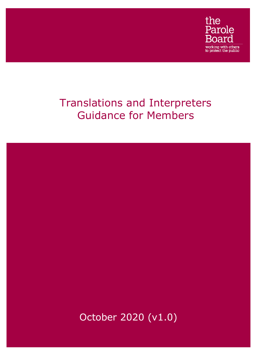

# Translations and Interpreters Guidance for Members

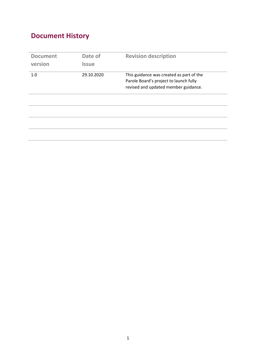## **Document History**

| <b>Document</b><br>version | Date of<br><b>Issue</b> | <b>Revision description</b>                                                                                                |
|----------------------------|-------------------------|----------------------------------------------------------------------------------------------------------------------------|
| 1.0                        | 29.10.2020              | This guidance was created as part of the<br>Parole Board's project to launch fully<br>revised and updated member guidance. |
|                            |                         |                                                                                                                            |
|                            |                         |                                                                                                                            |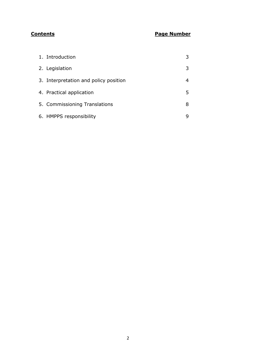### **Contents Page Number**

| 1. Introduction                       |   |
|---------------------------------------|---|
| 2. Legislation                        | 3 |
| 3. Interpretation and policy position |   |
| 4. Practical application              | 5 |
| 5. Commissioning Translations         | 8 |
| 6. HMPPS responsibility               |   |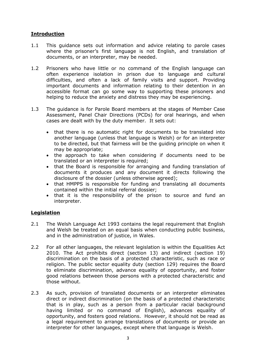#### **Introduction**

- 1.1 This guidance sets out information and advice relating to parole cases where the prisoner's first language is not English, and translation of documents, or an interpreter, may be needed.
- 1.2 Prisoners who have little or no command of the English language can often experience isolation in prison due to language and cultural difficulties, and often a lack of family visits and support. Providing important documents and information relating to their detention in an accessible format can go some way to supporting these prisoners and helping to reduce the anxiety and distress they may be experiencing.
- 1.3 The guidance is for Parole Board members at the stages of Member Case Assessment, Panel Chair Directions (PCDs) for oral hearings, and when cases are dealt with by the duty member. It sets out:
	- that there is no automatic right for documents to be translated into another language (unless that language is Welsh) or for an interpreter to be directed, but that fairness will be the guiding principle on when it may be appropriate;
	- the approach to take when considering if documents need to be translated or an interpreter is required;
	- that the Board is responsible for arranging and funding translation of documents it produces and any document it directs following the disclosure of the dossier (unless otherwise agreed);
	- that HMPPS is responsible for funding and translating all documents contained within the initial referral dossier;
	- that it is the responsibility of the prison to source and fund an interpreter.

#### **Legislation**

- 2.1 The Welsh Language Act 1993 contains the legal requirement that English and Welsh be treated on an equal basis when conducting public business, and in the administration of justice, in Wales.
- 2.2 For all other languages, the relevant legislation is within the Equalities Act 2010. The Act prohibits direct (section 13) and indirect (section 19) discrimination on the basis of a protected characteristic, such as race or religion. The public sector equality duty (section 129) requires the Board to eliminate discrimination, advance equality of opportunity, and foster good relations between those persons with a protected characteristic and those without.
- 2.3 As such, provision of translated documents or an interpreter eliminates direct or indirect discrimination (on the basis of a protected characteristic that is in play, such as a person from a particular racial background having limited or no command of English), advances equality of opportunity, and fosters good relations. However, it should not be read as a legal requirement to arrange translations of documents or provide an interpreter for other languages, except where that language is Welsh.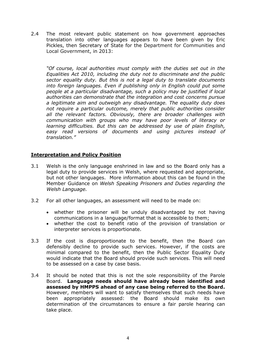2.4 The most relevant public statement on how government approaches translation into other languages appears to have been given by Eric Pickles, then Secretary of State for the Department for Communities and Local Government, in 2013:

*"Of course, local authorities must comply with the duties set out in the Equalities Act 2010, including the duty not to discriminate and the public sector equality duty. But this is not a legal duty to translate documents into foreign languages. Even if publishing only in English could put some people at a particular disadvantage, such a policy may be justified if local authorities can demonstrate that the integration and cost concerns pursue a legitimate aim and outweigh any disadvantage. The equality duty does not require a particular outcome, merely that public authorities consider all the relevant factors. Obviously, there are broader challenges with communication with groups who may have poor levels of literacy or learning difficulties. But this can be addressed by use of plain English, easy read versions of documents and using pictures instead of translation."*

#### **Interpretation and Policy Position**

- 3.1 Welsh is the only language enshrined in law and so the Board only has a legal duty to provide services in Welsh, where requested and appropriate, but not other languages. More information about this can be found in the Member Guidance on *Welsh Speaking Prisoners and Duties regarding the Welsh Language.*
- 3.2 For all other languages, an assessment will need to be made on:
	- whether the prisoner will be unduly disadvantaged by not having communications in a language/format that is accessible to them;
	- whether the cost to benefit ratio of the provision of translation or interpreter services is proportionate.
- 3.3 If the cost is disproportionate to the benefit, then the Board can defensibly decline to provide such services. However, if the costs are minimal compared to the benefit, then the Public Sector Equality Duty would indicate that the Board should provide such services. This will need to be assessed on a case by case basis.
- 3.4 It should be noted that this is not the sole responsibility of the Parole Board. **Language needs should have already been identified and assessed by HMPPS ahead of any case being referred to the Board.** However, members will want to satisfy themselves that such needs have been appropriately assessed: the Board should make its own determination of the circumstances to ensure a fair parole hearing can take place.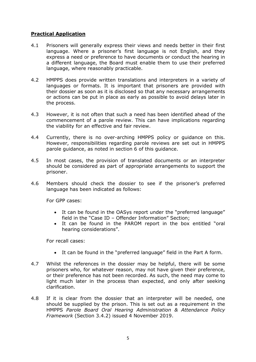#### **Practical Application**

- 4.1 Prisoners will generally express their views and needs better in their first language. Where a prisoner's first language is not English, and they express a need or preference to have documents or conduct the hearing in a different language, the Board must enable them to use their preferred language, where reasonably practicable.
- 4.2 HMPPS does provide written translations and interpreters in a variety of languages or formats. It is important that prisoners are provided with their dossier as soon as it is disclosed so that any necessary arrangements or actions can be put in place as early as possible to avoid delays later in the process.
- 4.3 However, it is not often that such a need has been identified ahead of the commencement of a parole review. This can have implications regarding the viability for an effective and fair review.
- 4.4 Currently, there is no over-arching HMPPS policy or guidance on this. However, responsibilities regarding parole reviews are set out in HMPPS parole guidance, as noted in section 6 of this guidance.
- 4.5 In most cases, the provision of translated documents or an interpreter should be considered as part of appropriate arrangements to support the prisoner.
- 4.6 Members should check the dossier to see if the prisoner's preferred language has been indicated as follows:

For GPP cases:

- It can be found in the OASys report under the "preferred language" field in the "Case ID – Offender Information" Section;
- It can be found in the PAROM report in the box entitled "oral hearing considerations".

For recall cases:

- It can be found in the "preferred language" field in the Part A form.
- 4.7 Whilst the references in the dossier may be helpful, there will be some prisoners who, for whatever reason, may not have given their preference, or their preference has not been recorded. As such, the need may come to light much later in the process than expected, and only after seeking clarification.
- 4.8 If it is clear from the dossier that an interpreter will be needed, one should be supplied by the prison. This is set out as a requirement in the HMPPS *Parole Board Oral Hearing Administration & Attendance Policy Framework* (Section 3.4.2) issued 4 November 2019.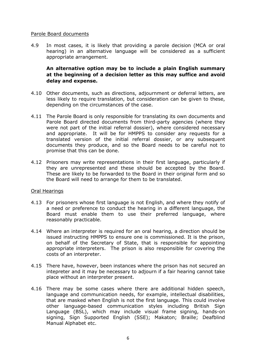#### Parole Board documents

4.9 In most cases, it is likely that providing a parole decision (MCA or oral hearing) in an alternative language will be considered as a sufficient appropriate arrangement.

#### **An alternative option may be to include a plain English summary at the beginning of a decision letter as this may suffice and avoid delay and expense.**

- 4.10 Other documents, such as directions, adjournment or deferral letters, are less likely to require translation, but consideration can be given to these, depending on the circumstances of the case.
- 4.11 The Parole Board is only responsible for translating its own documents and Parole Board directed documents from third-party agencies (where they were not part of the initial referral dossier), where considered necessary and appropriate. It will be for HMPPS to consider any requests for a translated version of the initial referral dossier, or any subsequent documents they produce, and so the Board needs to be careful not to promise that this can be done.
- 4.12 Prisoners may write representations in their first language, particularly if they are unrepresented and these should be accepted by the Board. These are likely to be forwarded to the Board in their original form and so the Board will need to arrange for them to be translated.

#### Oral Hearings

- 4.13 For prisoners whose first language is not English, and where they notify of a need or preference to conduct the hearing in a different language, the Board must enable them to use their preferred language, where reasonably practicable.
- 4.14 Where an interpreter is required for an oral hearing, a direction should be issued instructing HMPPS to ensure one is commissioned. It is the prison, on behalf of the Secretary of State, that is responsible for appointing appropriate interpreters. The prison is also responsible for covering the costs of an interpreter.
- 4.15 There have, however, been instances where the prison has not secured an intepreter and it may be necessary to adjourn if a fair hearing cannot take place without an interpreter present.
- 4.16 There may be some cases where there are additional hidden speech, language and communication needs, for example, intellectual disabilities, that are masked when English is not the first language. This could involve other language-based communication styles including British Sign Language (BSL), which may include visual frame signing, hands-on signing, Sign Supported English (SSE); Makaton; Braille; Deafblind Manual Alphabet etc.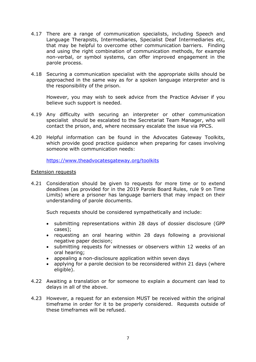- 4.17 There are a range of communication specialists, including Speech and Language Therapists, Intermediaries, Specialist Deaf Intermediaries etc, that may be helpful to overcome other communication barriers. Finding and using the right combination of communication methods, for example non-verbal, or symbol systems, can offer improved engagement in the parole process.
- 4.18 Securing a communication specialist with the appropriate skills should be approached in the same way as for a spoken language interpreter and is the responsibility of the prison.

However, you may wish to seek advice from the Practice Adviser if you believe such support is needed.

- 4.19 Any difficulty with securing an interpreter or other communication specialist should be escalated to the Secretariat Team Manager, who will contact the prison, and, where necessary escalate the issue via PPCS.
- 4.20 Helpful information can be found in the Advocates Gateway Toolkits, which provide good practice guidance when preparing for cases involving someone with communication needs:

<https://www.theadvocatesgateway.org/toolkits>

#### Extension requests

4.21 Consideration should be given to requests for more time or to extend deadlines (as provided for in the 2019 Parole Board Rules, rule 9 on Time Limits) where a prisoner has language barriers that may impact on their understanding of parole documents.

Such requests should be considered sympathetically and include:

- submitting representations within 28 days of dossier disclosure (GPP cases);
- requesting an oral hearing within 28 days following a provisional negative paper decision;
- submitting requests for witnesses or observers within 12 weeks of an oral hearing;
- appealing a non-disclosure application within seven days
- applying for a parole decision to be reconsidered within 21 days (where eligible).
- 4.22 Awaiting a translation or for someone to explain a document can lead to delays in all of the above.
- 4.23 However, a request for an extension MUST be received within the original timeframe in order for it to be properly considered. Requests outside of these timeframes will be refused.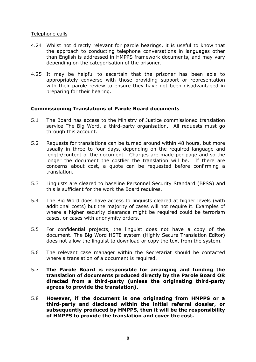#### Telephone calls

- 4.24 Whilst not directly relevant for parole hearings, it is useful to know that the approach to conducting telephone conversations in languages other than English is addressed in HMPPS framework documents, and may vary depending on the categorisation of the prisoner.
- 4.25 It may be helpful to ascertain that the prisoner has been able to appropriately converse with those providing support or representation with their parole review to ensure they have not been disadvantaged in preparing for their hearing.

#### **Commissioning Translations of Parole Board documents**

- 5.1 The Board has access to the Ministry of Justice commissioned translation service The Big Word, a third-party organisation. All requests must go through this account.
- 5.2 Requests for translations can be turned around within 48 hours, but more usually in three to four days, depending on the required language and length/content of the document. Charges are made per page and so the longer the document the costlier the translation will be. If there are concerns about cost, a quote can be requested before confirming a translation.
- 5.3 Linguists are cleared to baseline Personnel Security Standard (BPSS) and this is sufficient for the work the Board requires.
- 5.4 The Big Word does have access to linguists cleared at higher levels (with additional costs) but the majority of cases will not require it. Examples of where a higher security clearance might be required could be terrorism cases, or cases with anonymity orders.
- 5.5 For confidential projects, the linguist does not have a copy of the document. The Big Word HSTE system (Highly Secure Translation Editor) does not allow the linguist to download or copy the text from the system.
- 5.6 The relevant case manager within the Secretariat should be contacted where a translation of a document is required.
- 5.7 **The Parole Board is responsible for arranging and funding the translation of documents produced directly by the Parole Board OR directed from a third-party (unless the originating third-party agrees to provide the translation).**
- 5.8 **However, if the document is one originating from HMPPS or a third-party and disclosed within the initial referral dossier, or subsequently produced by HMPPS, then it will be the responsibility of HMPPS to provide the translation and cover the cost.**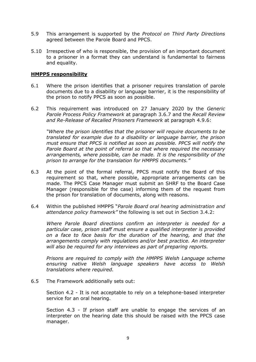- 5.9 This arrangement is supported by the *Protocol on Third Party Directions* agreed between the Parole Board and PPCS.
- 5.10 Irrespective of who is responsible, the provision of an important document to a prisoner in a format they can understand is fundamental to fairness and equality.

#### **HMPPS responsibility**

- 6.1 Where the prison identifies that a prisoner requires translation of parole documents due to a disability or language barrier, it is the responsibility of the prison to notify PPCS as soon as possible.
- 6.2 This requirement was introduced on 27 January 2020 by the *Generic Parole Process Policy Framework* at paragraph 3.6.7 and the *Recall Review and Re-Release of Recalled Prisoners Framework* at paragraph 4.9.6:

*"Where the prison identifies that the prisoner will require documents to be translated for example due to a disability or language barrier, the prison must ensure that PPCS is notified as soon as possible. PPCS will notify the Parole Board at the point of referral so that where required the necessary arrangements, where possible, can be made. It is the responsibility of the prison to arrange for the translation for HMPPS documents."*

- 6.3 At the point of the formal referral, PPCS must notify the Board of this requirement so that, where possible, appropriate arrangements can be made. The PPCS Case Manager must submit an SHRF to the Board Case Manager (responsible for the case) informing them of the request from the prison for translation of documents, along with reasons.
- 6.4 Within the published HMPPS "*Parole Board oral hearing administration and attendance policy framework"* the following is set out in Section 3.4.2:

*Where Parole Board directions confirm an interpreter is needed for a particular case, prison staff must ensure a qualified interpreter is provided on a face to face basis for the duration of the hearing, and that the arrangements comply with regulations and/or best practice. An interpreter will also be required for any interviews as part of preparing reports.* 

*Prisons are required to comply with the HMPPS Welsh Language scheme ensuring native Welsh language speakers have access to Welsh translations where required.* 

6.5 The Framework additionally sets out:

Section 4.2 - It is not acceptable to rely on a telephone-based interpreter service for an oral hearing.

Section 4.3 - If prison staff are unable to engage the services of an interpreter on the hearing date this should be raised with the PPCS case manager.